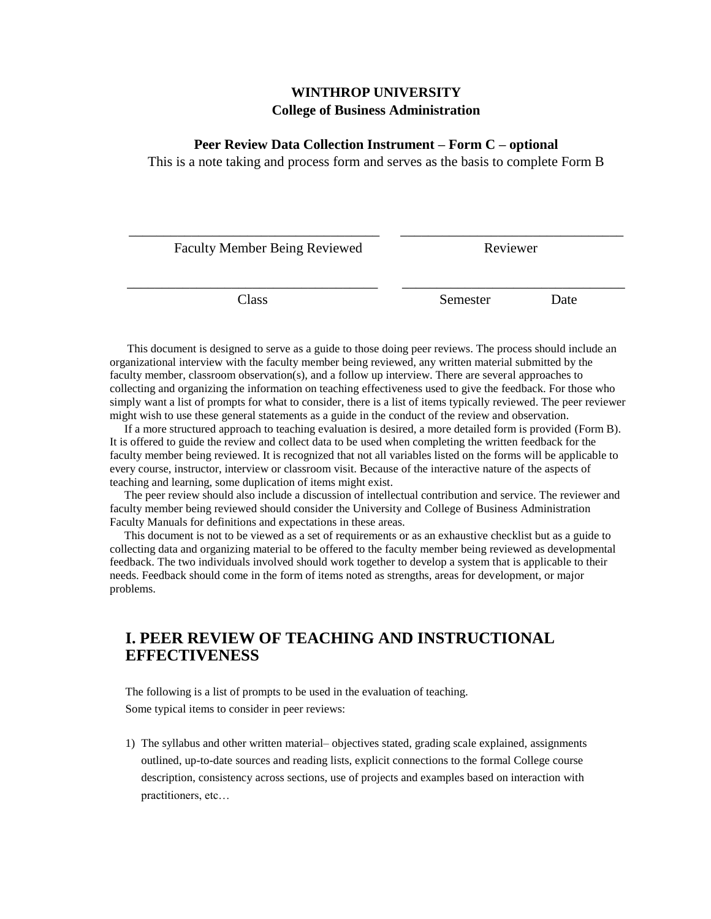## **WINTHROP UNIVERSITY College of Business Administration**

## **Peer Review Data Collection Instrument – Form C – optional**

This is a note taking and process form and serves as the basis to complete Form B

| <b>Faculty Member Being Reviewed</b> | Reviewer |      |
|--------------------------------------|----------|------|
|                                      |          |      |
| Class                                | Semester | Date |

 This document is designed to serve as a guide to those doing peer reviews. The process should include an organizational interview with the faculty member being reviewed, any written material submitted by the faculty member, classroom observation(s), and a follow up interview. There are several approaches to collecting and organizing the information on teaching effectiveness used to give the feedback. For those who simply want a list of prompts for what to consider, there is a list of items typically reviewed. The peer reviewer might wish to use these general statements as a guide in the conduct of the review and observation.

 If a more structured approach to teaching evaluation is desired, a more detailed form is provided (Form B). It is offered to guide the review and collect data to be used when completing the written feedback for the faculty member being reviewed. It is recognized that not all variables listed on the forms will be applicable to every course, instructor, interview or classroom visit. Because of the interactive nature of the aspects of teaching and learning, some duplication of items might exist.

 The peer review should also include a discussion of intellectual contribution and service. The reviewer and faculty member being reviewed should consider the University and College of Business Administration Faculty Manuals for definitions and expectations in these areas.

 This document is not to be viewed as a set of requirements or as an exhaustive checklist but as a guide to collecting data and organizing material to be offered to the faculty member being reviewed as developmental feedback. The two individuals involved should work together to develop a system that is applicable to their needs. Feedback should come in the form of items noted as strengths, areas for development, or major problems.

## **I. PEER REVIEW OF TEACHING AND INSTRUCTIONAL EFFECTIVENESS**

The following is a list of prompts to be used in the evaluation of teaching. Some typical items to consider in peer reviews:

1) The syllabus and other written material– objectives stated, grading scale explained, assignments outlined, up-to-date sources and reading lists, explicit connections to the formal College course description, consistency across sections, use of projects and examples based on interaction with practitioners, etc…